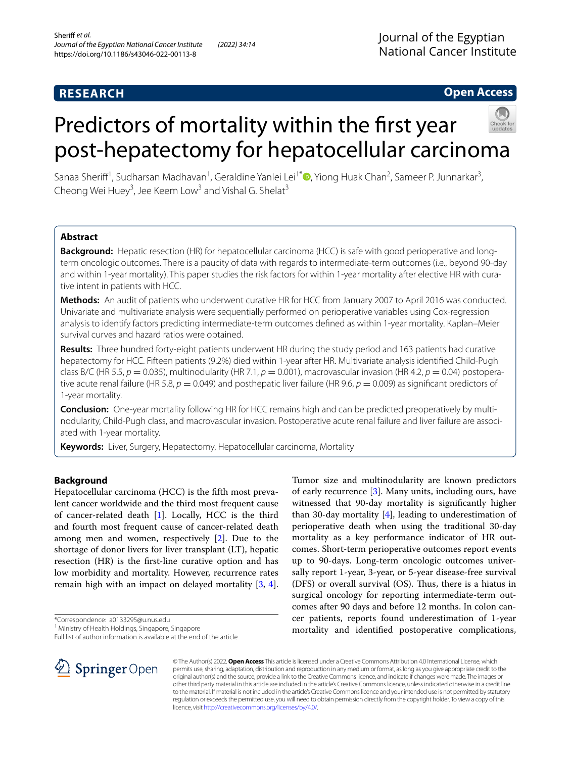# **RESEARCH**

# **Open Access**

# Predictors of mortality within the first year post-hepatectomy for hepatocellular carcinoma

Sanaa Sheriff<sup>1</sup>[,](http://orcid.org/0000-0003-3970-0461) Sudharsan Madhavan<sup>1</sup>, Geraldine Yanlei Lei<sup>1\*</sup> (D, Yiong Huak Chan<sup>2</sup>, Sameer P. Junnarkar<sup>3</sup>, Cheong Wei Huey<sup>3</sup>, Jee Keem Low<sup>3</sup> and Vishal G. Shelat<sup>3</sup>

# **Abstract**

**Background:** Hepatic resection (HR) for hepatocellular carcinoma (HCC) is safe with good perioperative and longterm oncologic outcomes. There is a paucity of data with regards to intermediate-term outcomes (i.e., beyond 90-day and within 1-year mortality). This paper studies the risk factors for within 1-year mortality after elective HR with curative intent in patients with HCC.

**Methods:** An audit of patients who underwent curative HR for HCC from January 2007 to April 2016 was conducted. Univariate and multivariate analysis were sequentially performed on perioperative variables using Cox-regression analysis to identify factors predicting intermediate-term outcomes defned as within 1-year mortality. Kaplan–Meier survival curves and hazard ratios were obtained.

**Results:** Three hundred forty-eight patients underwent HR during the study period and 163 patients had curative hepatectomy for HCC. Fifteen patients (9.2%) died within 1-year after HR. Multivariate analysis identifed Child-Pugh class B/C (HR 5.5, *p* = 0.035), multinodularity (HR 7.1, *p* = 0.001), macrovascular invasion (HR 4.2, *p* = 0.04) postoperative acute renal failure (HR 5.8,  $p = 0.049$ ) and posthepatic liver failure (HR 9.6,  $p = 0.009$ ) as significant predictors of 1-year mortality.

**Conclusion:** One-year mortality following HR for HCC remains high and can be predicted preoperatively by multinodularity, Child-Pugh class, and macrovascular invasion. Postoperative acute renal failure and liver failure are associated with 1-year mortality.

**Keywords:** Liver, Surgery, Hepatectomy, Hepatocellular carcinoma, Mortality

# **Background**

Hepatocellular carcinoma (HCC) is the ffth most prevalent cancer worldwide and the third most frequent cause of cancer-related death [[1\]](#page-9-0). Locally, HCC is the third and fourth most frequent cause of cancer-related death among men and women, respectively [[2\]](#page-9-1). Due to the shortage of donor livers for liver transplant (LT), hepatic resection (HR) is the frst-line curative option and has low morbidity and mortality. However, recurrence rates remain high with an impact on delayed mortality [[3,](#page-9-2) [4](#page-9-3)].

\*Correspondence: a0133295@u.nus.edu

<sup>1</sup> Ministry of Health Holdings, Singapore, Singapore

Full list of author information is available at the end of the article



Tumor size and multinodularity are known predictors of early recurrence [\[3\]](#page-9-2). Many units, including ours, have witnessed that 90-day mortality is signifcantly higher than 30-day mortality  $[4]$  $[4]$ , leading to underestimation of perioperative death when using the traditional 30-day mortality as a key performance indicator of HR outcomes. Short-term perioperative outcomes report events up to 90-days. Long-term oncologic outcomes universally report 1-year, 3-year, or 5-year disease-free survival (DFS) or overall survival  $(OS)$ . Thus, there is a hiatus in surgical oncology for reporting intermediate-term outcomes after 90 days and before 12 months. In colon cancer patients, reports found underestimation of 1-year mortality and identifed postoperative complications,

© The Author(s) 2022. **Open Access** This article is licensed under a Creative Commons Attribution 4.0 International License, which permits use, sharing, adaptation, distribution and reproduction in any medium or format, as long as you give appropriate credit to the original author(s) and the source, provide a link to the Creative Commons licence, and indicate if changes were made. The images or other third party material in this article are included in the article's Creative Commons licence, unless indicated otherwise in a credit line to the material. If material is not included in the article's Creative Commons licence and your intended use is not permitted by statutory regulation or exceeds the permitted use, you will need to obtain permission directly from the copyright holder. To view a copy of this licence, visit [http://creativecommons.org/licenses/by/4.0/.](http://creativecommons.org/licenses/by/4.0/)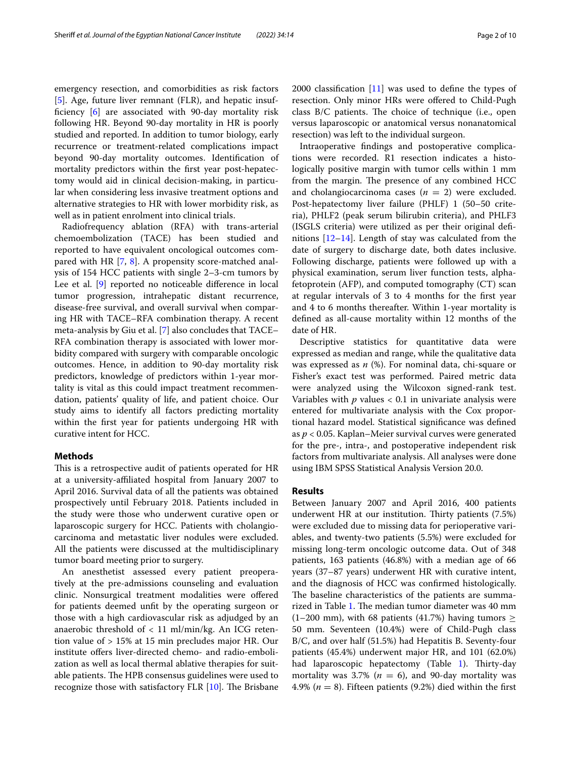emergency resection, and comorbidities as risk factors [[5\]](#page-9-4). Age, future liver remnant (FLR), and hepatic insuffciency [[6\]](#page-9-5) are associated with 90-day mortality risk following HR. Beyond 90-day mortality in HR is poorly studied and reported. In addition to tumor biology, early recurrence or treatment-related complications impact beyond 90-day mortality outcomes. Identifcation of mortality predictors within the frst year post-hepatectomy would aid in clinical decision-making, in particular when considering less invasive treatment options and alternative strategies to HR with lower morbidity risk, as well as in patient enrolment into clinical trials.

Radiofrequency ablation (RFA) with trans-arterial chemoembolization (TACE) has been studied and reported to have equivalent oncological outcomes compared with HR [\[7,](#page-9-6) [8](#page-9-7)]. A propensity score-matched analysis of 154 HCC patients with single 2–3-cm tumors by Lee et al. [\[9](#page-9-8)] reported no noticeable difference in local tumor progression, intrahepatic distant recurrence, disease-free survival, and overall survival when comparing HR with TACE–RFA combination therapy. A recent meta-analysis by Giu et al. [\[7\]](#page-9-6) also concludes that TACE– RFA combination therapy is associated with lower morbidity compared with surgery with comparable oncologic outcomes. Hence, in addition to 90-day mortality risk predictors, knowledge of predictors within 1-year mortality is vital as this could impact treatment recommendation, patients' quality of life, and patient choice. Our study aims to identify all factors predicting mortality within the frst year for patients undergoing HR with curative intent for HCC.

#### **Methods**

This is a retrospective audit of patients operated for HR at a university-afliated hospital from January 2007 to April 2016. Survival data of all the patients was obtained prospectively until February 2018. Patients included in the study were those who underwent curative open or laparoscopic surgery for HCC. Patients with cholangiocarcinoma and metastatic liver nodules were excluded. All the patients were discussed at the multidisciplinary tumor board meeting prior to surgery.

An anesthetist assessed every patient preoperatively at the pre-admissions counseling and evaluation clinic. Nonsurgical treatment modalities were ofered for patients deemed unft by the operating surgeon or those with a high cardiovascular risk as adjudged by an anaerobic threshold of < 11 ml/min/kg. An ICG retention value of > 15% at 15 min precludes major HR. Our institute offers liver-directed chemo- and radio-embolization as well as local thermal ablative therapies for suitable patients. The HPB consensus guidelines were used to recognize those with satisfactory FLR  $[10]$  $[10]$ . The Brisbane 2000 classifcation [[11\]](#page-9-10) was used to defne the types of resection. Only minor HRs were offered to Child-Pugh class  $B/C$  patients. The choice of technique (i.e., open versus laparoscopic or anatomical versus nonanatomical resection) was left to the individual surgeon.

Intraoperative fndings and postoperative complications were recorded. R1 resection indicates a histologically positive margin with tumor cells within 1 mm from the margin. The presence of any combined HCC and cholangiocarcinoma cases  $(n = 2)$  were excluded. Post-hepatectomy liver failure (PHLF) 1 (50–50 criteria), PHLF2 (peak serum bilirubin criteria), and PHLF3 (ISGLS criteria) were utilized as per their original defnitions [[12–](#page-9-11)[14](#page-9-12)]. Length of stay was calculated from the date of surgery to discharge date, both dates inclusive. Following discharge, patients were followed up with a physical examination, serum liver function tests, alphafetoprotein (AFP), and computed tomography (CT) scan at regular intervals of 3 to 4 months for the frst year and 4 to 6 months thereafter. Within 1-year mortality is defned as all-cause mortality within 12 months of the date of HR.

Descriptive statistics for quantitative data were expressed as median and range, while the qualitative data was expressed as *n* (%). For nominal data, chi-square or Fisher's exact test was performed. Paired metric data were analyzed using the Wilcoxon signed-rank test. Variables with *p* values < 0.1 in univariate analysis were entered for multivariate analysis with the Cox proportional hazard model. Statistical signifcance was defned as *p* < 0.05. Kaplan–Meier survival curves were generated for the pre-, intra-, and postoperative independent risk factors from multivariate analysis. All analyses were done using IBM SPSS Statistical Analysis Version 20.0.

#### **Results**

Between January 2007 and April 2016, 400 patients underwent HR at our institution. Thirty patients  $(7.5%)$ were excluded due to missing data for perioperative variables, and twenty-two patients (5.5%) were excluded for missing long-term oncologic outcome data. Out of 348 patients, 163 patients (46.8%) with a median age of 66 years (37–87 years) underwent HR with curative intent, and the diagnosis of HCC was confrmed histologically. The baseline characteristics of the patients are summa-rized in Table [1](#page-2-0). The median tumor diameter was 40 mm (1–200 mm), with 68 patients (41.7%) having tumors  $\geq$ 50 mm. Seventeen (10.4%) were of Child-Pugh class B/C, and over half (51.5%) had Hepatitis B. Seventy-four patients (45.4%) underwent major HR, and 101 (62.0%) had laparoscopic hepatectomy (Table  $1$ ). Thirty-day mortality was 3.7% ( $n = 6$ ), and 90-day mortality was 4.9% ( $n = 8$ ). Fifteen patients (9.2%) died within the first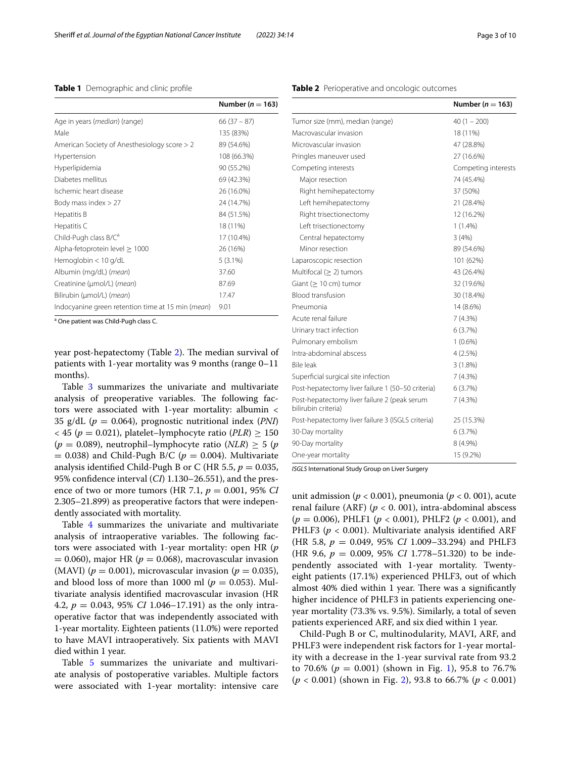#### <span id="page-2-0"></span>**Table 1** Demographic and clinic profle

|                                                   | Number ( $n = 163$ ) |
|---------------------------------------------------|----------------------|
| Age in years ( <i>median</i> ) (range)            | $66(37 - 87)$        |
| Male                                              | 135 (83%)            |
| American Society of Anesthesiology score > 2      | 89 (54.6%)           |
| Hypertension                                      | 108 (66.3%)          |
| Hyperlipidemia                                    | 90 (55.2%)           |
| Diabetes mellitus                                 | 69 (42.3%)           |
| Ischemic heart disease                            | 26 (16.0%)           |
| Body mass index > 27                              | 24 (14.7%)           |
| Hepatitis B                                       | 84 (51.5%)           |
| Hepatitis C                                       | 18 (11%)             |
| Child-Pugh class B/C <sup>a</sup>                 | 17 (10.4%)           |
| Alpha-fetoprotein level $\geq 1000$               | 26 (16%)             |
| Hemoglobin < 10 g/dL                              | $5(3.1\%)$           |
| Albumin (mg/dL) ( <i>mean</i> )                   | 37.60                |
| Creatinine (µmol/L) ( <i>mean</i> )               | 87.69                |
| Bilirubin (µmol/L) ( <i>mean</i> )                | 17.47                |
| Indocyanine green retention time at 15 min (mean) | 9.01                 |

<sup>a</sup> One patient was Child-Pugh class C.

year post-hepatectomy (Table [2](#page-2-1)). The median survival of patients with 1-year mortality was 9 months (range 0–11 months).

Table [3](#page-3-0) summarizes the univariate and multivariate analysis of preoperative variables. The following factors were associated with 1-year mortality: albumin < 35 g/dL (*p* = 0.064), prognostic nutritional index (*PNI*)  $<$  45 ( $p = 0.021$ ), platelet–lymphocyte ratio (*PLR*)  $\geq$  150  $(p = 0.089)$ , neutrophil–lymphocyte ratio  $(NLR) \geq 5$  (*p*)  $= 0.038$ ) and Child-Pugh B/C ( $p = 0.004$ ). Multivariate analysis identified Child-Pugh B or C (HR 5.5,  $p = 0.035$ , 95% confdence interval (*CI*) 1.130–26.551), and the presence of two or more tumors (HR 7.1, *p* = 0.001, 95% *CI* 2.305–21.899) as preoperative factors that were independently associated with mortality.

Table [4](#page-3-1) summarizes the univariate and multivariate analysis of intraoperative variables. The following factors were associated with 1-year mortality: open HR (*p*  $= 0.060$ ), major HR ( $p = 0.068$ ), macrovascular invasion (MAVI) ( $p = 0.001$ ), microvascular invasion ( $p = 0.035$ ), and blood loss of more than 1000 ml ( $p = 0.053$ ). Multivariate analysis identifed macrovascular invasion (HR 4.2, *p* = 0.043, 95% *CI* 1.046–17.191) as the only intraoperative factor that was independently associated with 1-year mortality. Eighteen patients (11.0%) were reported to have MAVI intraoperatively. Six patients with MAVI died within 1 year.

Table [5](#page-4-0) summarizes the univariate and multivariate analysis of postoperative variables. Multiple factors were associated with 1-year mortality: intensive care

| Macrovascular invasion         | 18 (11%)            |
|--------------------------------|---------------------|
| Microvascular invasion         | 47 (28.8%)          |
| Pringles maneuver used         | 27 (16.6%)          |
| Competing interests            | Competing interests |
| Major resection                | 74 (45.4%)          |
| Right hemihepatectomy          | 37 (50%)            |
| Left hemihepatectomy           | 21 (28.4%)          |
| Right trisectionectomy         | 12 (16.2%)          |
| Left trisectionectomy          | $1(1.4\%)$          |
| Central hepatectomy            | 3(4%)               |
| Minor resection                | 89 (54.6%)          |
| Laparoscopic resection         | 101 (62%)           |
| Multifocal $(> 2)$ tumors      | 43 (26.4%)          |
| Giant $(>10 \text{ cm})$ tumor | 32 (19.6%)          |
| Blood transfusion              | 30 (18.4%)          |
|                                |                     |

| Multifocal ( $\geq$ 2) tumors                                       | 43 (26.4%) |
|---------------------------------------------------------------------|------------|
| Giant ( $\geq 10$ cm) tumor                                         | 32 (19.6%) |
| <b>Blood transfusion</b>                                            | 30 (18.4%) |
| Pneumonia                                                           | 14 (8.6%)  |
| Acute renal failure                                                 | 7(4.3%)    |
| Urinary tract infection                                             | 6(3.7%)    |
| Pulmonary embolism                                                  | $1(0.6\%)$ |
| Intra-abdominal abscess                                             | 4(2.5%)    |
| <b>Bile leak</b>                                                    | 3(1.8%)    |
| Superficial surgical site infection                                 | 7(4.3%)    |
| Post-hepatectomy liver failure 1 (50-50 criteria)                   | 6(3.7%)    |
| Post-hepatectomy liver failure 2 (peak serum<br>bilirubin criteria) | 7(4.3%)    |
| Post-hepatectomy liver failure 3 (ISGLS criteria)                   | 25 (15.3%) |
| 30-Day mortality                                                    | 6(3.7%)    |
| 90-Day mortality                                                    | 8 (4.9%)   |
| One-year mortality                                                  | 15 (9.2%)  |

*ISGLS* International Study Group on Liver Surgery

unit admission ( $p < 0.001$ ), pneumonia ( $p < 0.001$ ), acute renal failure (ARF) (*p* < 0. 001), intra-abdominal abscess (*p* = 0.006), PHLF1 (*p* < 0.001), PHLF2 (*p* < 0.001), and PHLF3 ( $p < 0.001$ ). Multivariate analysis identified ARF (HR 5.8, *p* = 0.049, 95% *CI* 1.009–33.294) and PHLF3 (HR 9.6, *p* = 0.009, 95% *CI* 1.778–51.320) to be independently associated with 1-year mortality. Twentyeight patients (17.1%) experienced PHLF3, out of which almost 40% died within 1 year. There was a significantly higher incidence of PHLF3 in patients experiencing oneyear mortality (73.3% vs. 9.5%). Similarly, a total of seven patients experienced ARF, and six died within 1 year.

Child-Pugh B or C, multinodularity, MAVI, ARF, and PHLF3 were independent risk factors for 1-year mortality with a decrease in the 1-year survival rate from 93.2 to 70.6% ( $p = 0.001$ ) (shown in Fig. [1\)](#page-4-1), 95.8 to 76.7% (*p* < 0.001) (shown in Fig. [2](#page-5-0)), 93.8 to 66.7% (*p* < 0.001)

#### <span id="page-2-1"></span>**Table 2** Perioperative and oncologic outcomes

Tumor size (mm), median (range) 40 (1 – 200)

**Number (***n* = **163)**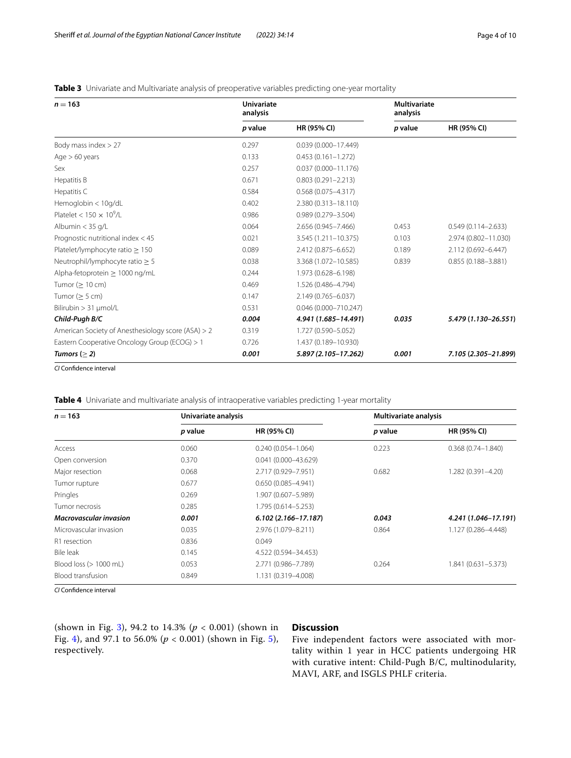### <span id="page-3-0"></span>**Table 3** Univariate and Multivariate analysis of preoperative variables predicting one-year mortality

| $n = 163$                                          | <b>Univariate</b><br>analysis |                         | <b>Multivariate</b><br>analysis |                        |
|----------------------------------------------------|-------------------------------|-------------------------|---------------------------------|------------------------|
|                                                    | p value                       | HR (95% CI)             | p value                         | HR (95% CI)            |
| Body mass index $> 27$                             | 0.297                         | $0.039(0.000 - 17.449)$ |                                 |                        |
| Age $> 60$ years                                   | 0.133                         | $0.453(0.161 - 1.272)$  |                                 |                        |
| Sex                                                | 0.257                         | $0.037(0.000 - 11.176)$ |                                 |                        |
| Hepatitis B                                        | 0.671                         | $0.803(0.291 - 2.213)$  |                                 |                        |
| Hepatitis C                                        | 0.584                         | $0.568(0.075 - 4.317)$  |                                 |                        |
| Hemoglobin < 10g/dL                                | 0.402                         | 2.380 (0.313-18.110)    |                                 |                        |
| Platelet < $150 \times 10^9$ /L                    | 0.986                         | $0.989(0.279 - 3.504)$  |                                 |                        |
| Albumin $<$ 35 g/L                                 | 0.064                         | 2.656 (0.945-7.466)     | 0.453                           | $0.549(0.114 - 2.633)$ |
| Prognostic nutritional index < 45                  | 0.021                         | 3.545 (1.211-10.375)    | 0.103                           | 2.974 (0.802-11.030)   |
| Platelet/lymphocyte ratio $\geq 150$               | 0.089                         | 2.412 (0.875-6.652)     | 0.189                           | 2.112 (0.692-6.447)    |
| Neutrophil/lymphocyte ratio $\geq$ 5               | 0.038                         | 3.368 (1.072-10.585)    | 0.839                           | $0.855(0.188 - 3.881)$ |
| Alpha-fetoprotein > 1000 ng/mL                     | 0.244                         | 1.973 (0.628-6.198)     |                                 |                        |
| Tumor ( $\geq 10$ cm)                              | 0.469                         | 1.526 (0.486-4.794)     |                                 |                        |
| Tumor ( $\geq$ 5 cm)                               | 0.147                         | 2.149 (0.765-6.037)     |                                 |                        |
| Bilirubin > 31 µmol/L                              | 0.531                         | 0.046 (0.000-710.247)   |                                 |                        |
| Child-Pugh B/C                                     | 0.004                         | 4.941 (1.685-14.491)    | 0.035                           | 5.479 (1.130-26.551)   |
| American Society of Anesthesiology score (ASA) > 2 | 0.319                         | 1.727 (0.590-5.052)     |                                 |                        |
| Eastern Cooperative Oncology Group (ECOG) > 1      | 0.726                         | 1.437 (0.189-10.930)    |                                 |                        |
| Tumors ( $\geq$ 2)                                 | 0.001                         | 5.897 (2.105-17.262)    | 0.001                           | 7.105 (2.305-21.899)   |

*CI* Confdence interval

<span id="page-3-1"></span>**Table 4** Univariate and multivariate analysis of intraoperative variables predicting 1-year mortality

| $n = 163$                        | Univariate analysis |                         | <b>Multivariate analysis</b> |                       |  |
|----------------------------------|---------------------|-------------------------|------------------------------|-----------------------|--|
|                                  | p value             | <b>HR (95% CI)</b>      | p value                      | <b>HR (95% CI)</b>    |  |
| Access                           | 0.060               | $0.240(0.054 - 1.064)$  | 0.223                        | $0.368(0.74 - 1.840)$ |  |
| Open conversion                  | 0.370               | $0.041(0.000 - 43.629)$ |                              |                       |  |
| Major resection                  | 0.068               | 2.717 (0.929-7.951)     | 0.682                        | 1.282 (0.391-4.20)    |  |
| Tumor rupture                    | 0.677               | $0.650(0.085 - 4.941)$  |                              |                       |  |
| Pringles                         | 0.269               | 1.907 (0.607-5.989)     |                              |                       |  |
| Tumor necrosis                   | 0.285               | 1.795 (0.614-5.253)     |                              |                       |  |
| <b>Macrovascular invasion</b>    | 0.001               | $6.102(2.166 - 17.187)$ | 0.043                        | 4.241 (1.046-17.191)  |  |
| Microvascular invasion           | 0.035               | 2.976 (1.079-8.211)     | 0.864                        | 1.127 (0.286-4.448)   |  |
| R1 resection                     | 0.836               | 0.049                   |                              |                       |  |
| Bile leak                        | 0.145               | 4.522 (0.594-34.453)    |                              |                       |  |
| Blood loss $(> 1000 \text{ mL})$ | 0.053               | 2.771 (0.986-7.789)     | 0.264                        | 1.841 (0.631-5.373)   |  |
| Blood transfusion                | 0.849               | 1.131 (0.319-4.008)     |                              |                       |  |

*CI* Confdence interval

(shown in Fig. [3\)](#page-6-0), 94.2 to 14.3% (*p* < 0.001) (shown in Fig. [4](#page-7-0)), and 97.1 to 56.0% (*p* < 0.001) (shown in Fig. [5\)](#page-8-0), respectively.

# **Discussion**

Five independent factors were associated with mortality within 1 year in HCC patients undergoing HR with curative intent: Child-Pugh B/C, multinodularity, MAVI, ARF, and ISGLS PHLF criteria.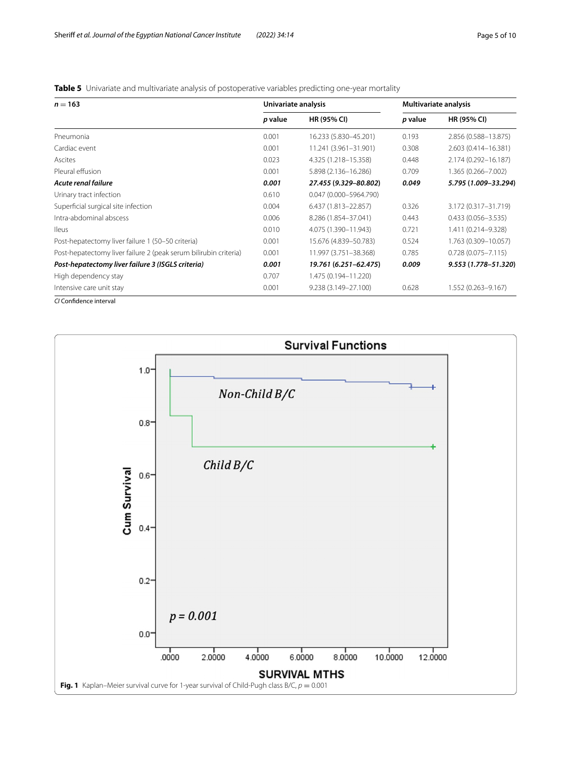<span id="page-4-0"></span>**Table 5** Univariate and multivariate analysis of postoperative variables predicting one-year mortality

| $n = 163$                                                        | Univariate analysis |                        | Multivariate analysis |                        |
|------------------------------------------------------------------|---------------------|------------------------|-----------------------|------------------------|
|                                                                  | p value             | <b>HR (95% CI)</b>     | p value               | <b>HR (95% CI)</b>     |
| Pneumonia                                                        | 0.001               | 16.233 (5.830-45.201)  | 0.193                 | 2.856 (0.588-13.875)   |
| Cardiac event                                                    | 0.001               | 11.241 (3.961-31.901)  | 0.308                 | 2.603 (0.414-16.381)   |
| Ascites                                                          | 0.023               | 4.325 (1.218-15.358)   | 0.448                 | 2.174 (0.292-16.187)   |
| Pleural effusion                                                 | 0.001               | 5.898 (2.136-16.286)   | 0.709                 | 1.365 (0.266-7.002)    |
| Acute renal failure                                              | 0.001               | 27.455 (9.329-80.802)  | 0.049                 | 5.795 (1.009-33.294)   |
| Urinary tract infection                                          | 0.610               | 0.047 (0.000-5964.790) |                       |                        |
| Superficial surgical site infection                              | 0.004               | 6.437 (1.813-22.857)   | 0.326                 | 3.172 (0.317-31.719)   |
| Intra-abdominal abscess                                          | 0.006               | 8.286 (1.854-37.041)   | 0.443                 | $0.433(0.056 - 3.535)$ |
| <b>Ileus</b>                                                     | 0.010               | 4.075 (1.390-11.943)   | 0.721                 | 1.411 (0.214-9.328)    |
| Post-hepatectomy liver failure 1 (50-50 criteria)                | 0.001               | 15.676 (4.839-50.783)  | 0.524                 | 1.763 (0.309-10.057)   |
| Post-hepatectomy liver failure 2 (peak serum bilirubin criteria) | 0.001               | 11.997 (3.751-38.368)  | 0.785                 | $0.728(0.075 - 7.115)$ |
| Post-hepatectomy liver failure 3 (ISGLS criteria)                | 0.001               | 19.761 (6.251-62.475)  | 0.009                 | 9.553 (1.778-51.320)   |
| High dependency stay                                             | 0.707               | 1.475 (0.194-11.220)   |                       |                        |
| Intensive care unit stay                                         | 0.001               | 9.238 (3.149-27.100)   | 0.628                 | 1.552 (0.263-9.167)    |

*CI* Confdence interval

<span id="page-4-1"></span>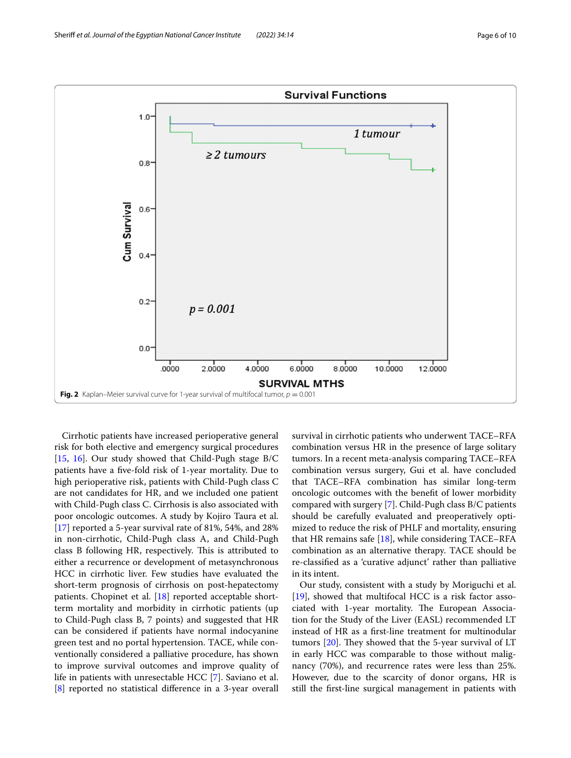

<span id="page-5-0"></span>Cirrhotic patients have increased perioperative general risk for both elective and emergency surgical procedures [[15,](#page-9-13) [16\]](#page-9-14). Our study showed that Child-Pugh stage B/C patients have a fve-fold risk of 1-year mortality. Due to high perioperative risk, patients with Child-Pugh class C are not candidates for HR, and we included one patient with Child-Pugh class C. Cirrhosis is also associated with poor oncologic outcomes. A study by Kojiro Taura et al. [[17\]](#page-9-15) reported a 5-year survival rate of 81%, 54%, and 28% in non-cirrhotic, Child-Pugh class A, and Child-Pugh class B following HR, respectively. This is attributed to either a recurrence or development of metasynchronous HCC in cirrhotic liver. Few studies have evaluated the short-term prognosis of cirrhosis on post-hepatectomy patients. Chopinet et al. [\[18\]](#page-9-16) reported acceptable shortterm mortality and morbidity in cirrhotic patients (up to Child-Pugh class B, 7 points) and suggested that HR can be considered if patients have normal indocyanine green test and no portal hypertension. TACE, while conventionally considered a palliative procedure, has shown to improve survival outcomes and improve quality of life in patients with unresectable HCC [\[7](#page-9-6)]. Saviano et al. [[8\]](#page-9-7) reported no statistical diference in a 3-year overall survival in cirrhotic patients who underwent TACE–RFA combination versus HR in the presence of large solitary tumors. In a recent meta-analysis comparing TACE–RFA combination versus surgery, Gui et al. have concluded that TACE–RFA combination has similar long-term oncologic outcomes with the beneft of lower morbidity compared with surgery [\[7](#page-9-6)]. Child-Pugh class B/C patients should be carefully evaluated and preoperatively optimized to reduce the risk of PHLF and mortality, ensuring that HR remains safe  $[18]$  $[18]$ , while considering TACE–RFA combination as an alternative therapy. TACE should be re-classifed as a 'curative adjunct' rather than palliative in its intent.

Our study, consistent with a study by Moriguchi et al. [[19\]](#page-9-17), showed that multifocal HCC is a risk factor associated with 1-year mortality. The European Association for the Study of the Liver (EASL) recommended LT instead of HR as a frst-line treatment for multinodular tumors  $[20]$  $[20]$ . They showed that the 5-year survival of LT in early HCC was comparable to those without malignancy (70%), and recurrence rates were less than 25%. However, due to the scarcity of donor organs, HR is still the frst-line surgical management in patients with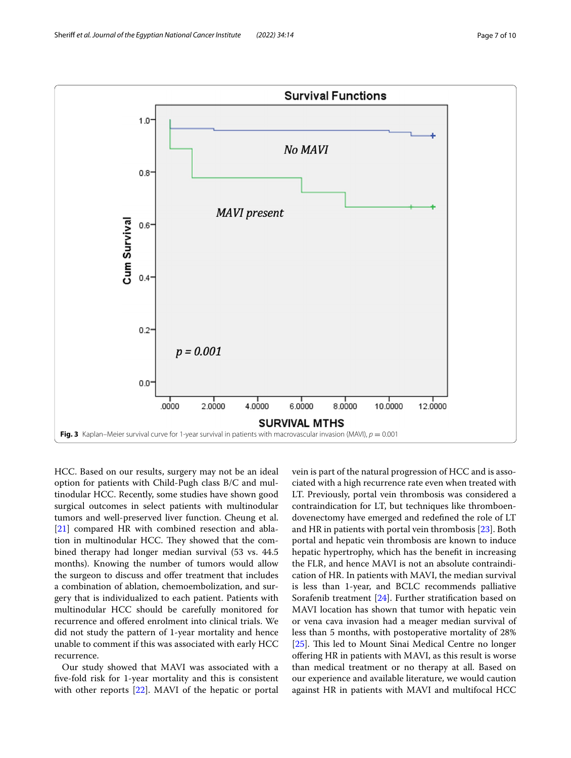

<span id="page-6-0"></span>HCC. Based on our results, surgery may not be an ideal option for patients with Child-Pugh class B/C and multinodular HCC. Recently, some studies have shown good surgical outcomes in select patients with multinodular tumors and well-preserved liver function. Cheung et al. [[21\]](#page-9-19) compared HR with combined resection and ablation in multinodular HCC. They showed that the combined therapy had longer median survival (53 vs. 44.5 months). Knowing the number of tumors would allow the surgeon to discuss and offer treatment that includes a combination of ablation, chemoembolization, and surgery that is individualized to each patient. Patients with multinodular HCC should be carefully monitored for recurrence and ofered enrolment into clinical trials. We did not study the pattern of 1-year mortality and hence unable to comment if this was associated with early HCC recurrence.

Our study showed that MAVI was associated with a fve-fold risk for 1-year mortality and this is consistent with other reports [[22](#page-9-20)]. MAVI of the hepatic or portal vein is part of the natural progression of HCC and is associated with a high recurrence rate even when treated with LT. Previously, portal vein thrombosis was considered a contraindication for LT, but techniques like thromboendovenectomy have emerged and redefned the role of LT and HR in patients with portal vein thrombosis [\[23](#page-9-21)]. Both portal and hepatic vein thrombosis are known to induce hepatic hypertrophy, which has the beneft in increasing the FLR, and hence MAVI is not an absolute contraindication of HR. In patients with MAVI, the median survival is less than 1-year, and BCLC recommends palliative Sorafenib treatment [[24\]](#page-9-22). Further stratifcation based on MAVI location has shown that tumor with hepatic vein or vena cava invasion had a meager median survival of less than 5 months, with postoperative mortality of 28% [[25\]](#page-9-23). This led to Mount Sinai Medical Centre no longer ofering HR in patients with MAVI, as this result is worse than medical treatment or no therapy at all. Based on our experience and available literature, we would caution against HR in patients with MAVI and multifocal HCC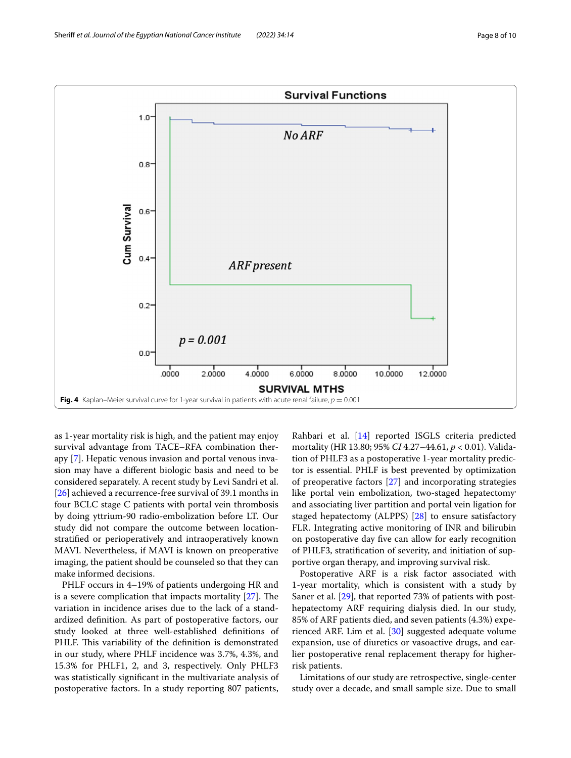

<span id="page-7-0"></span>as 1-year mortality risk is high, and the patient may enjoy survival advantage from TACE–RFA combination therapy [[7\]](#page-9-6). Hepatic venous invasion and portal venous invasion may have a diferent biologic basis and need to be considered separately. A recent study by Levi Sandri et al. [[26\]](#page-9-24) achieved a recurrence-free survival of 39.1 months in four BCLC stage C patients with portal vein thrombosis by doing yttrium-90 radio-embolization before LT. Our study did not compare the outcome between locationstratifed or perioperatively and intraoperatively known MAVI. Nevertheless, if MAVI is known on preoperative imaging, the patient should be counseled so that they can make informed decisions.

PHLF occurs in 4–19% of patients undergoing HR and is a severe complication that impacts mortality  $[27]$  $[27]$ . The variation in incidence arises due to the lack of a standardized defnition. As part of postoperative factors, our study looked at three well-established defnitions of PHLF. This variability of the definition is demonstrated in our study, where PHLF incidence was 3.7%, 4.3%, and 15.3% for PHLF1, 2, and 3, respectively. Only PHLF3 was statistically signifcant in the multivariate analysis of postoperative factors. In a study reporting 807 patients,

Rahbari et al. [\[14](#page-9-12)] reported ISGLS criteria predicted mortality (HR 13.80; 95% *CI* 4.27–44.61, *p* < 0.01). Validation of PHLF3 as a postoperative 1-year mortality predictor is essential. PHLF is best prevented by optimization of preoperative factors [\[27](#page-9-25)] and incorporating strategies like portal vein embolization, two-staged hepatectomy and associating liver partition and portal vein ligation for staged hepatectomy (ALPPS) [[28\]](#page-9-26) to ensure satisfactory FLR. Integrating active monitoring of INR and bilirubin on postoperative day fve can allow for early recognition of PHLF3, stratifcation of severity, and initiation of supportive organ therapy, and improving survival risk.

Postoperative ARF is a risk factor associated with 1-year mortality, which is consistent with a study by Saner et al. [\[29\]](#page-9-27), that reported 73% of patients with posthepatectomy ARF requiring dialysis died. In our study, 85% of ARF patients died, and seven patients (4.3%) experienced ARF. Lim et al. [\[30](#page-9-28)] suggested adequate volume expansion, use of diuretics or vasoactive drugs, and earlier postoperative renal replacement therapy for higherrisk patients.

Limitations of our study are retrospective, single-center study over a decade, and small sample size. Due to small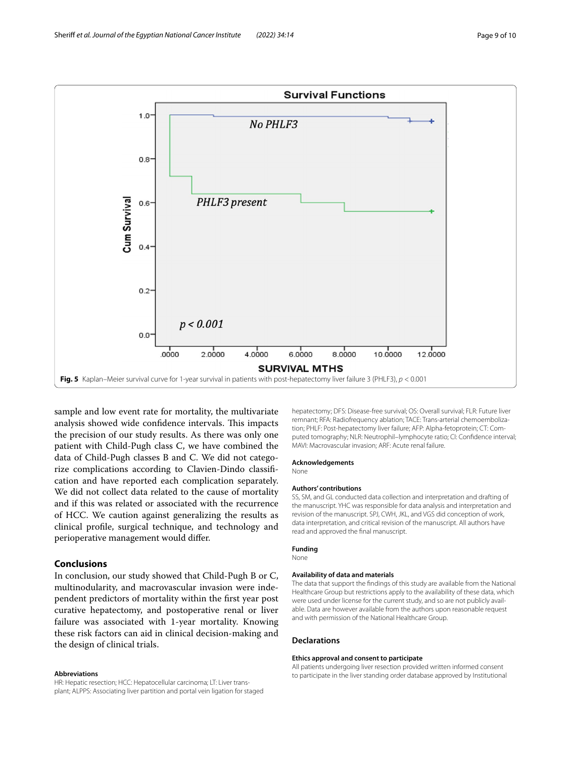

<span id="page-8-0"></span>sample and low event rate for mortality, the multivariate analysis showed wide confidence intervals. This impacts the precision of our study results. As there was only one patient with Child-Pugh class C, we have combined the data of Child-Pugh classes B and C. We did not categorize complications according to Clavien-Dindo classifcation and have reported each complication separately. We did not collect data related to the cause of mortality and if this was related or associated with the recurrence of HCC. We caution against generalizing the results as clinical profle, surgical technique, and technology and perioperative management would difer.

#### **Conclusions**

In conclusion, our study showed that Child-Pugh B or C, multinodularity, and macrovascular invasion were independent predictors of mortality within the frst year post curative hepatectomy, and postoperative renal or liver failure was associated with 1-year mortality. Knowing these risk factors can aid in clinical decision-making and the design of clinical trials.

#### **Abbreviations**

HR: Hepatic resection; HCC: Hepatocellular carcinoma; LT: Liver transplant; ALPPS: Associating liver partition and portal vein ligation for staged hepatectomy; DFS: Disease-free survival; OS: Overall survival; FLR: Future liver remnant; RFA: Radiofrequency ablation; TACE: Trans-arterial chemoembolization; PHLF: Post-hepatectomy liver failure; AFP: Alpha-fetoprotein; CT: Computed tomography; NLR: Neutrophil–lymphocyte ratio; CI: Confdence interval; MAVI: Macrovascular invasion; ARF: Acute renal failure.

#### **Acknowledgements**

None

#### **Authors' contributions**

SS, SM, and GL conducted data collection and interpretation and drafting of the manuscript. YHC was responsible for data analysis and interpretation and revision of the manuscript. SPJ, CWH, JKL, and VGS did conception of work, data interpretation, and critical revision of the manuscript. All authors have read and approved the fnal manuscript.

#### **Funding**

None

#### **Availability of data and materials**

The data that support the fndings of this study are available from the National Healthcare Group but restrictions apply to the availability of these data, which were used under license for the current study, and so are not publicly available. Data are however available from the authors upon reasonable request and with permission of the National Healthcare Group.

#### **Declarations**

#### **Ethics approval and consent to participate**

All patients undergoing liver resection provided written informed consent to participate in the liver standing order database approved by Institutional